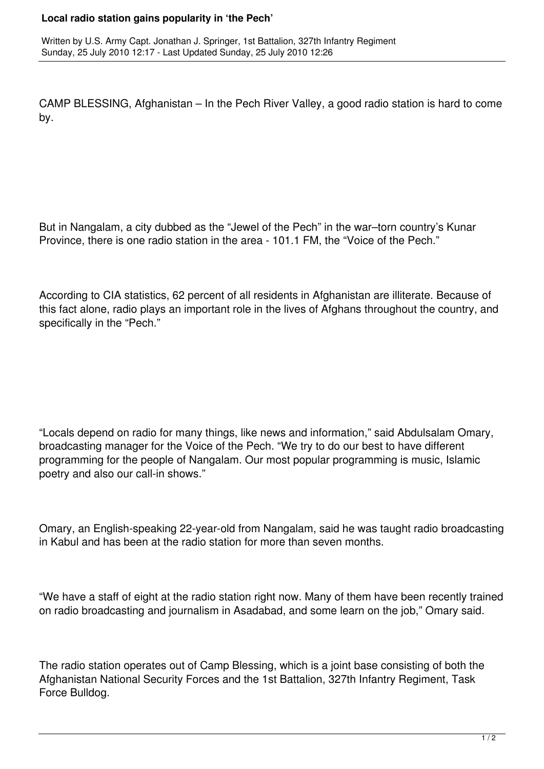## **Local radio station gains popularity in 'the Pech'**

CAMP BLESSING, Afghanistan – In the Pech River Valley, a good radio station is hard to come by.

But in Nangalam, a city dubbed as the "Jewel of the Pech" in the war–torn country's Kunar Province, there is one radio station in the area - 101.1 FM, the "Voice of the Pech."

According to CIA statistics, 62 percent of all residents in Afghanistan are illiterate. Because of this fact alone, radio plays an important role in the lives of Afghans throughout the country, and specifically in the "Pech."

"Locals depend on radio for many things, like news and information," said Abdulsalam Omary, broadcasting manager for the Voice of the Pech. "We try to do our best to have different programming for the people of Nangalam. Our most popular programming is music, Islamic poetry and also our call-in shows."

Omary, an English-speaking 22-year-old from Nangalam, said he was taught radio broadcasting in Kabul and has been at the radio station for more than seven months.

"We have a staff of eight at the radio station right now. Many of them have been recently trained on radio broadcasting and journalism in Asadabad, and some learn on the job," Omary said.

The radio station operates out of Camp Blessing, which is a joint base consisting of both the Afghanistan National Security Forces and the 1st Battalion, 327th Infantry Regiment, Task Force Bulldog.